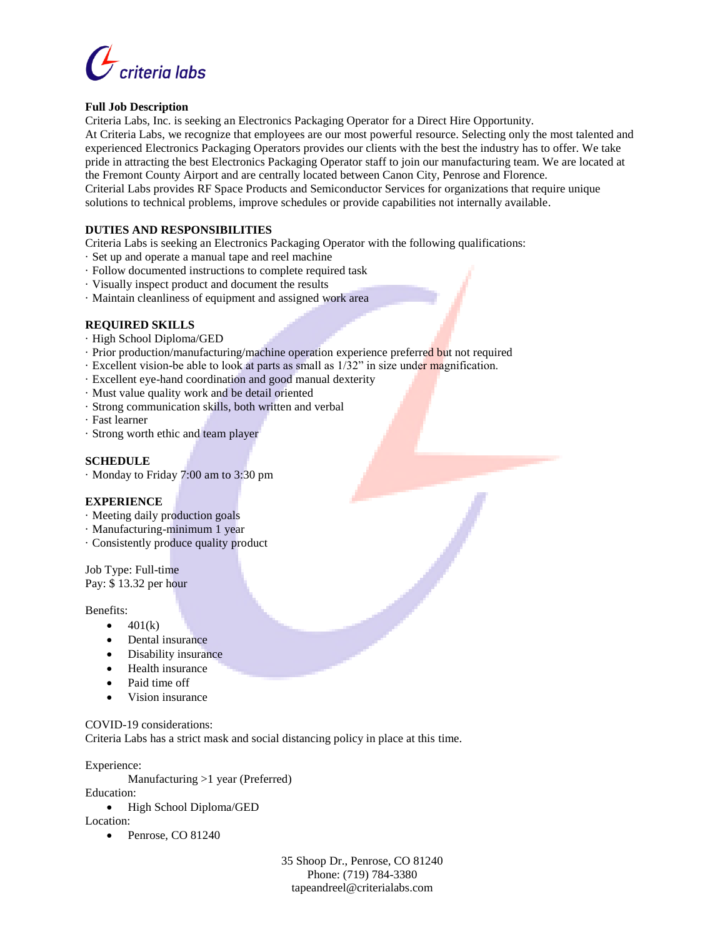

### **Full Job Description**

Criteria Labs, Inc. is seeking an Electronics Packaging Operator for a Direct Hire Opportunity.

At Criteria Labs, we recognize that employees are our most powerful resource. Selecting only the most talented and experienced Electronics Packaging Operators provides our clients with the best the industry has to offer. We take pride in attracting the best Electronics Packaging Operator staff to join our manufacturing team. We are located at the Fremont County Airport and are centrally located between Canon City, Penrose and Florence. Criterial Labs provides RF Space Products and Semiconductor Services for organizations that require unique solutions to technical problems, improve schedules or provide capabilities not internally available.

### **DUTIES AND RESPONSIBILITIES**

Criteria Labs is seeking an Electronics Packaging Operator with the following qualifications:

- · Set up and operate a manual tape and reel machine
- · Follow documented instructions to complete required task
- · Visually inspect product and document the results
- · Maintain cleanliness of equipment and assigned work area

# **REQUIRED SKILLS**

- · High School Diploma/GED
- · Prior production/manufacturing/machine operation experience preferred but not required
- · Excellent vision-be able to look at parts as small as 1/32" in size under magnification.
- · Excellent eye-hand coordination and good manual dexterity
- · Must value quality work and be detail oriented
- · Strong communication skills, both written and verbal
- · Fast learner
- · Strong worth ethic and team player

# **SCHEDULE**

· Monday to Friday 7:00 am to 3:30 pm

# **EXPERIENCE**

- · Meeting daily production goals
- · Manufacturing-minimum 1 year
- · Consistently produce quality product

Job Type: Full-time Pay: \$ 13.32 per hour

#### Benefits:

- $401(k)$
- Dental insurance
- Disability insurance
- Health insurance
- Paid time off
- Vision insurance

COVID-19 considerations:

Criteria Labs has a strict mask and social distancing policy in place at this time.

Experience:

Manufacturing >1 year (Preferred)

Education:

• High School Diploma/GED

Location:

• Penrose, CO 81240

35 Shoop Dr., Penrose, CO 81240 Phone: (719) 784-3380 tapeandreel@criterialabs.com